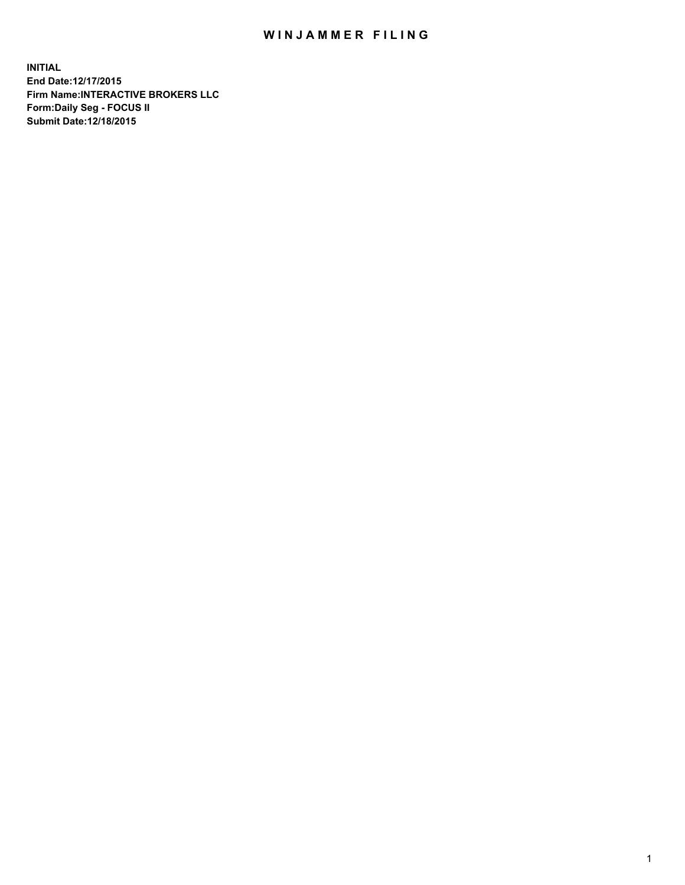## WIN JAMMER FILING

**INITIAL End Date:12/17/2015 Firm Name:INTERACTIVE BROKERS LLC Form:Daily Seg - FOCUS II Submit Date:12/18/2015**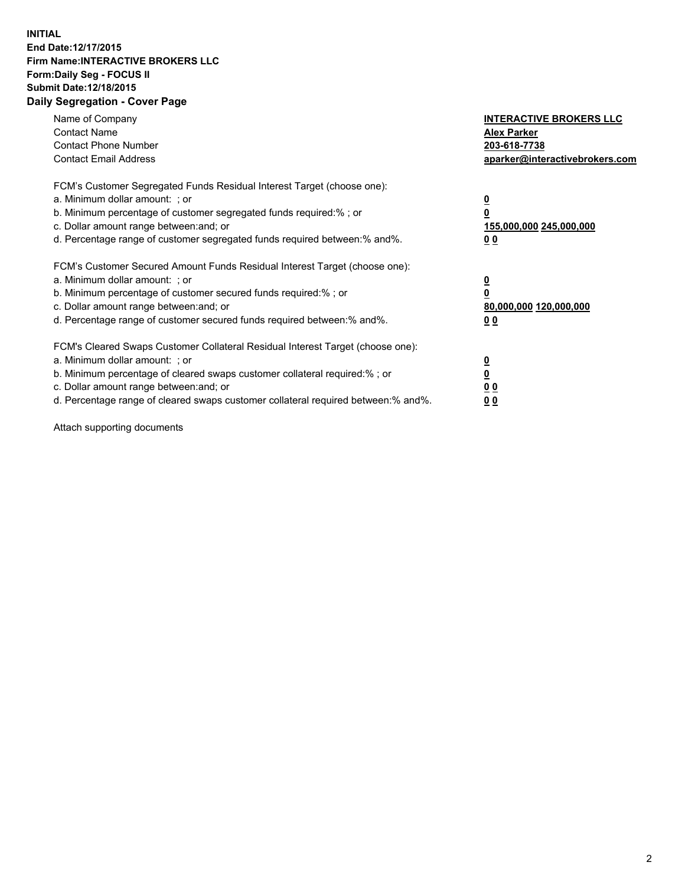## **INITIAL End Date:12/17/2015 Firm Name:INTERACTIVE BROKERS LLC Form:Daily Seg - FOCUS II Submit Date:12/18/2015 Daily Segregation - Cover Page**

| Name of Company<br><b>Contact Name</b><br><b>Contact Phone Number</b><br><b>Contact Email Address</b>                                                                                                                                                                                                                          | <b>INTERACTIVE BROKERS LLC</b><br><b>Alex Parker</b><br>203-618-7738<br>aparker@interactivebrokers.com |
|--------------------------------------------------------------------------------------------------------------------------------------------------------------------------------------------------------------------------------------------------------------------------------------------------------------------------------|--------------------------------------------------------------------------------------------------------|
| FCM's Customer Segregated Funds Residual Interest Target (choose one):<br>a. Minimum dollar amount: ; or<br>b. Minimum percentage of customer segregated funds required:% ; or<br>c. Dollar amount range between: and; or<br>d. Percentage range of customer segregated funds required between:% and%.                         | <u>0</u><br><u>155,000,000 245,000,000</u><br>00                                                       |
| FCM's Customer Secured Amount Funds Residual Interest Target (choose one):<br>a. Minimum dollar amount: ; or<br>b. Minimum percentage of customer secured funds required:%; or<br>c. Dollar amount range between: and; or<br>d. Percentage range of customer secured funds required between: % and %.                          | <u>0</u><br>80,000,000 120,000,000<br>0 <sub>0</sub>                                                   |
| FCM's Cleared Swaps Customer Collateral Residual Interest Target (choose one):<br>a. Minimum dollar amount: ; or<br>b. Minimum percentage of cleared swaps customer collateral required:% ; or<br>c. Dollar amount range between: and; or<br>d. Percentage range of cleared swaps customer collateral required between:% and%. | <u>0</u><br>0 <sub>0</sub><br><u>0 0</u>                                                               |

Attach supporting documents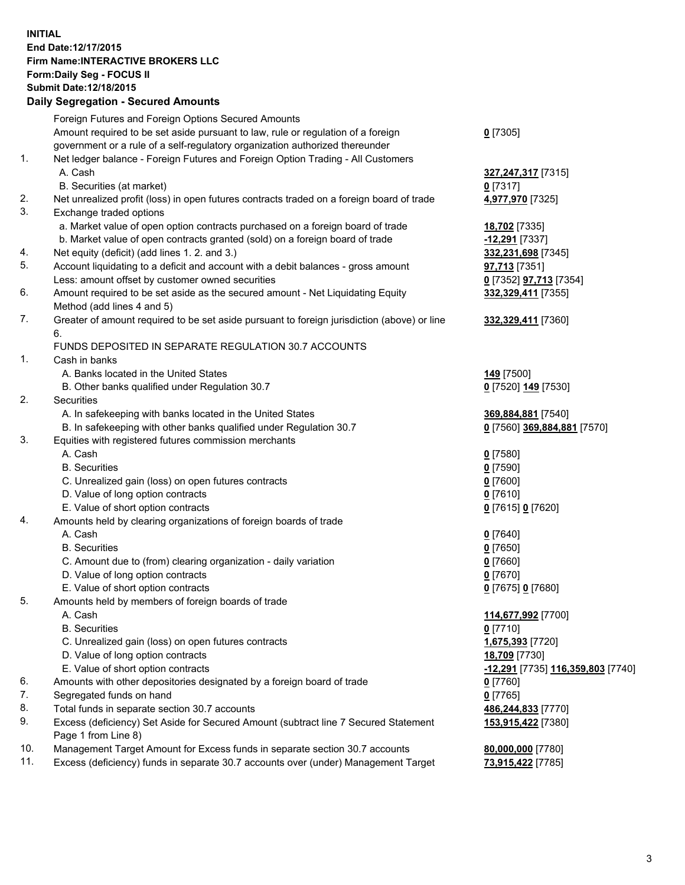## **INITIAL End Date:12/17/2015 Firm Name:INTERACTIVE BROKERS LLC Form:Daily Seg - FOCUS II Submit Date:12/18/2015 Daily Segregation - Secured Amounts**

|     | Daily Jegiegation - Jeculed Aniounts                                                                       |                                          |
|-----|------------------------------------------------------------------------------------------------------------|------------------------------------------|
|     | Foreign Futures and Foreign Options Secured Amounts                                                        |                                          |
|     | Amount required to be set aside pursuant to law, rule or regulation of a foreign                           | $0$ [7305]                               |
|     | government or a rule of a self-regulatory organization authorized thereunder                               |                                          |
| 1.  | Net ledger balance - Foreign Futures and Foreign Option Trading - All Customers                            |                                          |
|     | A. Cash                                                                                                    | 327, 247, 317 [7315]                     |
|     | B. Securities (at market)                                                                                  | $0$ [7317]                               |
| 2.  | Net unrealized profit (loss) in open futures contracts traded on a foreign board of trade                  | 4,977,970 [7325]                         |
| 3.  | Exchange traded options                                                                                    |                                          |
|     | a. Market value of open option contracts purchased on a foreign board of trade                             | 18,702 [7335]                            |
|     | b. Market value of open contracts granted (sold) on a foreign board of trade                               | -12,291 [7337]                           |
| 4.  | Net equity (deficit) (add lines 1.2. and 3.)                                                               | 332,231,698 [7345]                       |
| 5.  | Account liquidating to a deficit and account with a debit balances - gross amount                          | 97,713 [7351]                            |
|     | Less: amount offset by customer owned securities                                                           | 0 [7352] <b>97,713</b> [7354]            |
| 6.  | Amount required to be set aside as the secured amount - Net Liquidating Equity                             | 332,329,411 [7355]                       |
|     | Method (add lines 4 and 5)                                                                                 |                                          |
| 7.  | Greater of amount required to be set aside pursuant to foreign jurisdiction (above) or line                | 332,329,411 [7360]                       |
|     | 6.                                                                                                         |                                          |
|     | FUNDS DEPOSITED IN SEPARATE REGULATION 30.7 ACCOUNTS                                                       |                                          |
| 1.  | Cash in banks                                                                                              |                                          |
|     | A. Banks located in the United States                                                                      | <b>149</b> [7500]                        |
|     | B. Other banks qualified under Regulation 30.7                                                             | 0 [7520] 149 [7530]                      |
| 2.  | Securities                                                                                                 |                                          |
|     | A. In safekeeping with banks located in the United States                                                  | 369,884,881 [7540]                       |
|     | B. In safekeeping with other banks qualified under Regulation 30.7                                         | 0 [7560] 369,884,881 [7570]              |
| 3.  | Equities with registered futures commission merchants                                                      |                                          |
|     | A. Cash                                                                                                    | $0$ [7580]                               |
|     | <b>B.</b> Securities                                                                                       | $0$ [7590]                               |
|     | C. Unrealized gain (loss) on open futures contracts                                                        | $0$ [7600]                               |
|     | D. Value of long option contracts                                                                          | $0$ [7610]                               |
|     | E. Value of short option contracts                                                                         | 0 [7615] 0 [7620]                        |
| 4.  | Amounts held by clearing organizations of foreign boards of trade                                          |                                          |
|     | A. Cash                                                                                                    | $0$ [7640]                               |
|     | <b>B.</b> Securities                                                                                       | $0$ [7650]                               |
|     | C. Amount due to (from) clearing organization - daily variation                                            | $0$ [7660]                               |
|     | D. Value of long option contracts                                                                          | $0$ [7670]                               |
|     | E. Value of short option contracts                                                                         | 0 [7675] 0 [7680]                        |
| 5.  | Amounts held by members of foreign boards of trade                                                         |                                          |
|     | A. Cash                                                                                                    | 114,677,992 [7700]                       |
|     | <b>B.</b> Securities                                                                                       | $0$ [7710]                               |
|     | C. Unrealized gain (loss) on open futures contracts                                                        | 1,675,393 [7720]                         |
|     | D. Value of long option contracts                                                                          | 18,709 [7730]                            |
|     | E. Value of short option contracts                                                                         | <u>-12,291</u> [7735] 116,359,803 [7740] |
| 6.  | Amounts with other depositories designated by a foreign board of trade                                     | 0 [7760]                                 |
| 7.  | Segregated funds on hand                                                                                   | $0$ [7765]                               |
| 8.  | Total funds in separate section 30.7 accounts                                                              | 486,244,833 [7770]                       |
| 9.  | Excess (deficiency) Set Aside for Secured Amount (subtract line 7 Secured Statement<br>Page 1 from Line 8) | 153,915,422 [7380]                       |
| 10. | Management Target Amount for Excess funds in separate section 30.7 accounts                                | 80,000,000 [7780]                        |
| 11. | Excess (deficiency) funds in separate 30.7 accounts over (under) Management Target                         | 73,915,422 [7785]                        |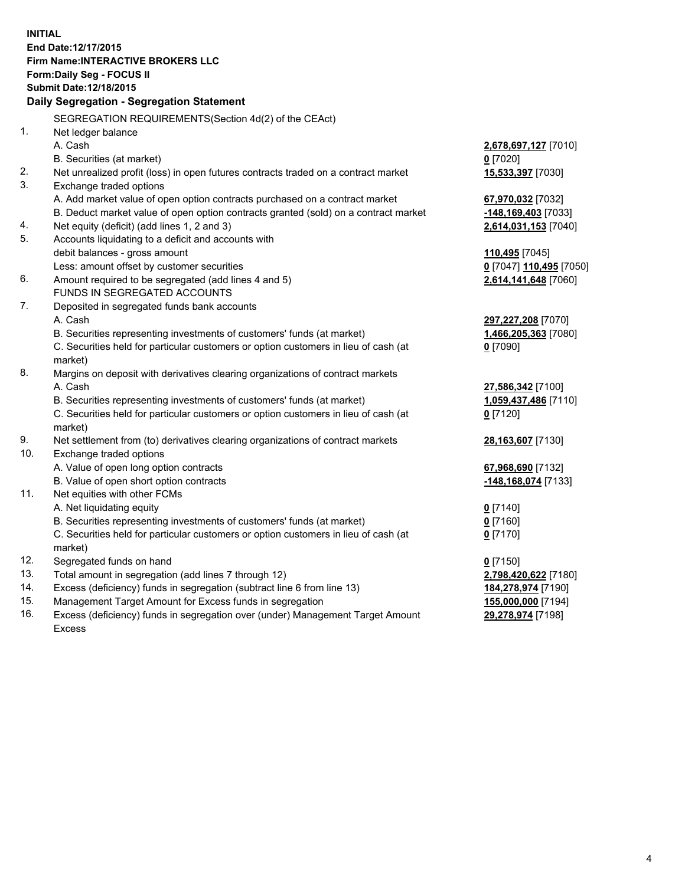**INITIAL End Date:12/17/2015 Firm Name:INTERACTIVE BROKERS LLC Form:Daily Seg - FOCUS II Submit Date:12/18/2015 Daily Segregation - Segregation Statement** SEGREGATION REQUIREMENTS(Section 4d(2) of the CEAct) 1. Net ledger balance A. Cash **2,678,697,127** [7010] B. Securities (at market) **0** [7020] 2. Net unrealized profit (loss) in open futures contracts traded on a contract market **15,533,397** [7030] 3. Exchange traded options A. Add market value of open option contracts purchased on a contract market **67,970,032** [7032] B. Deduct market value of open option contracts granted (sold) on a contract market **-148,169,403** [7033] 4. Net equity (deficit) (add lines 1, 2 and 3) **2,614,031,153** [7040] 5. Accounts liquidating to a deficit and accounts with debit balances - gross amount **110,495** [7045] Less: amount offset by customer securities **0** [7047] **110,495** [7050] 6. Amount required to be segregated (add lines 4 and 5) **2,614,141,648** [7060] FUNDS IN SEGREGATED ACCOUNTS 7. Deposited in segregated funds bank accounts A. Cash **297,227,208** [7070] B. Securities representing investments of customers' funds (at market) **1,466,205,363** [7080] C. Securities held for particular customers or option customers in lieu of cash (at market) **0** [7090] 8. Margins on deposit with derivatives clearing organizations of contract markets A. Cash **27,586,342** [7100] B. Securities representing investments of customers' funds (at market) **1,059,437,486** [7110] C. Securities held for particular customers or option customers in lieu of cash (at market) **0** [7120] 9. Net settlement from (to) derivatives clearing organizations of contract markets **28,163,607** [7130] 10. Exchange traded options A. Value of open long option contracts **67,968,690** [7132] B. Value of open short option contracts **-148,168,074** [7133] 11. Net equities with other FCMs A. Net liquidating equity **0** [7140] B. Securities representing investments of customers' funds (at market) **0** [7160] C. Securities held for particular customers or option customers in lieu of cash (at market) **0** [7170] 12. Segregated funds on hand **0** [7150] 13. Total amount in segregation (add lines 7 through 12) **2,798,420,622** [7180] 14. Excess (deficiency) funds in segregation (subtract line 6 from line 13) **184,278,974** [7190] 15. Management Target Amount for Excess funds in segregation **155,000,000** [7194]

16. Excess (deficiency) funds in segregation over (under) Management Target Amount Excess

**29,278,974** [7198]